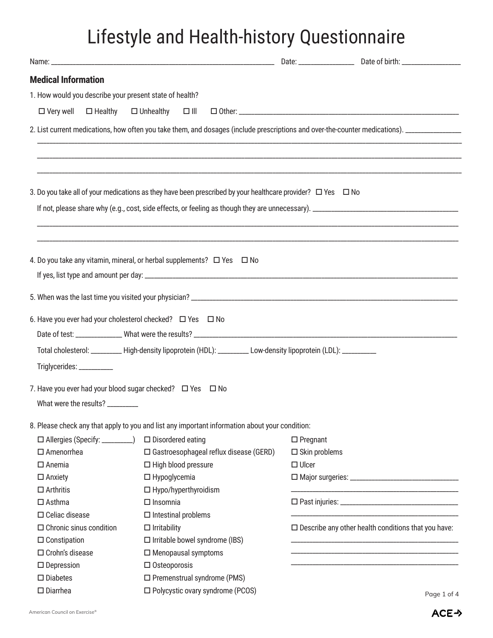## Lifestyle and Health-history Questionnaire

| <b>Medical Information</b>                                |                                                                                                                       |                         |                                                               |
|-----------------------------------------------------------|-----------------------------------------------------------------------------------------------------------------------|-------------------------|---------------------------------------------------------------|
| 1. How would you describe your present state of health?   |                                                                                                                       |                         |                                                               |
| $\Box$ Very well                                          | $\Box$ Healthy $\Box$ Unhealthy $\Box$ III                                                                            |                         |                                                               |
|                                                           |                                                                                                                       |                         |                                                               |
|                                                           |                                                                                                                       |                         |                                                               |
|                                                           |                                                                                                                       |                         |                                                               |
|                                                           | 3. Do you take all of your medications as they have been prescribed by your healthcare provider? $\Box$ Yes $\Box$ No |                         |                                                               |
|                                                           |                                                                                                                       |                         |                                                               |
|                                                           |                                                                                                                       |                         |                                                               |
|                                                           |                                                                                                                       |                         |                                                               |
|                                                           | 4. Do you take any vitamin, mineral, or herbal supplements? $\Box$ Yes $\Box$ No                                      |                         |                                                               |
|                                                           |                                                                                                                       |                         |                                                               |
|                                                           |                                                                                                                       |                         |                                                               |
|                                                           |                                                                                                                       |                         |                                                               |
| 6. Have you ever had your cholesterol checked? □ Yes □ No |                                                                                                                       |                         |                                                               |
|                                                           |                                                                                                                       |                         |                                                               |
|                                                           | Total cholesterol: _________ High-density lipoprotein (HDL): _________ Low-density lipoprotein (LDL): ________        |                         |                                                               |
| Triglycerides: ___________                                |                                                                                                                       |                         |                                                               |
| 7. Have you ever had your blood sugar checked? □ Yes □ No |                                                                                                                       |                         |                                                               |
| What were the results? _________                          |                                                                                                                       |                         |                                                               |
|                                                           |                                                                                                                       |                         |                                                               |
|                                                           | 8. Please check any that apply to you and list any important information about your condition:                        |                         |                                                               |
| $\Box$ Allergies (Specify: _________)                     | $\square$ Disordered eating                                                                                           | $\Box$ Pregnant         |                                                               |
| $\square$ Amenorrhea                                      | $\square$ Gastroesophageal reflux disease (GERD)                                                                      | $\square$ Skin problems |                                                               |
| $\Box$ Anemia                                             | $\Box$ High blood pressure                                                                                            | $\Box$ Ulcer            |                                                               |
| $\Box$ Anxiety                                            | $\Box$ Hypoglycemia                                                                                                   |                         |                                                               |
| $\Box$ Arthritis                                          | $\Box$ Hypo/hyperthyroidism                                                                                           |                         |                                                               |
| $\Box$ Asthma                                             | $\Box$ Insomnia                                                                                                       |                         |                                                               |
| $\Box$ Celiac disease                                     | $\Box$ Intestinal problems                                                                                            |                         |                                                               |
| $\Box$ Chronic sinus condition                            | $\Box$ Irritability                                                                                                   |                         | $\square$ Describe any other health conditions that you have: |
| $\Box$ Constipation                                       | $\Box$ Irritable bowel syndrome (IBS)                                                                                 |                         |                                                               |
| $\Box$ Crohn's disease                                    | $\Box$ Menopausal symptoms                                                                                            |                         |                                                               |
| $\square$ Depression                                      | $\Box$ Osteoporosis                                                                                                   |                         |                                                               |
| $\square$ Diabetes                                        | $\square$ Premenstrual syndrome (PMS)                                                                                 |                         |                                                               |
| $\square$ Diarrhea                                        | □ Polycystic ovary syndrome (PCOS)                                                                                    |                         | Page 1 of 4                                                   |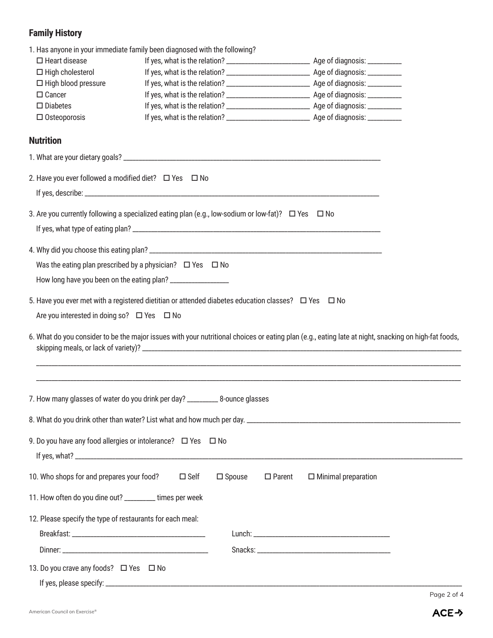## **Family History**

| 1. Has anyone in your immediate family been diagnosed with the following?                                                                            |                                                                     |                  |               |                            |             |  |  |  |  |
|------------------------------------------------------------------------------------------------------------------------------------------------------|---------------------------------------------------------------------|------------------|---------------|----------------------------|-------------|--|--|--|--|
| $\Box$ Heart disease                                                                                                                                 |                                                                     |                  |               |                            |             |  |  |  |  |
| $\Box$ High cholesterol                                                                                                                              |                                                                     |                  |               |                            |             |  |  |  |  |
| $\Box$ High blood pressure                                                                                                                           |                                                                     |                  |               |                            |             |  |  |  |  |
| $\Box$ Cancer                                                                                                                                        |                                                                     |                  |               |                            |             |  |  |  |  |
| $\square$ Diabetes                                                                                                                                   |                                                                     |                  |               |                            |             |  |  |  |  |
| $\Box$ Osteoporosis                                                                                                                                  |                                                                     |                  |               |                            |             |  |  |  |  |
|                                                                                                                                                      |                                                                     |                  |               |                            |             |  |  |  |  |
| <b>Nutrition</b>                                                                                                                                     |                                                                     |                  |               |                            |             |  |  |  |  |
|                                                                                                                                                      |                                                                     |                  |               |                            |             |  |  |  |  |
| 2. Have you ever followed a modified diet? $\Box$ Yes $\Box$ No                                                                                      |                                                                     |                  |               |                            |             |  |  |  |  |
|                                                                                                                                                      |                                                                     |                  |               |                            |             |  |  |  |  |
| 3. Are you currently following a specialized eating plan (e.g., low-sodium or low-fat)? $\Box$ Yes $\Box$ No                                         |                                                                     |                  |               |                            |             |  |  |  |  |
|                                                                                                                                                      |                                                                     |                  |               |                            |             |  |  |  |  |
|                                                                                                                                                      |                                                                     |                  |               |                            |             |  |  |  |  |
|                                                                                                                                                      |                                                                     |                  |               |                            |             |  |  |  |  |
|                                                                                                                                                      | Was the eating plan prescribed by a physician? $\Box$ Yes $\Box$ No |                  |               |                            |             |  |  |  |  |
|                                                                                                                                                      |                                                                     |                  |               |                            |             |  |  |  |  |
| 5. Have you ever met with a registered dietitian or attended diabetes education classes? $\Box$ Yes $\Box$ No                                        |                                                                     |                  |               |                            |             |  |  |  |  |
| Are you interested in doing so? $\Box$ Yes $\Box$ No                                                                                                 |                                                                     |                  |               |                            |             |  |  |  |  |
| 6. What do you consider to be the major issues with your nutritional choices or eating plan (e.g., eating late at night, snacking on high-fat foods, |                                                                     |                  |               |                            |             |  |  |  |  |
| 7. How many glasses of water do you drink per day? __________ 8-ounce glasses                                                                        |                                                                     |                  |               |                            |             |  |  |  |  |
|                                                                                                                                                      |                                                                     |                  |               |                            |             |  |  |  |  |
| 9. Do you have any food allergies or intolerance? $\Box$ Yes $\Box$ No                                                                               |                                                                     |                  |               |                            |             |  |  |  |  |
|                                                                                                                                                      |                                                                     |                  |               |                            |             |  |  |  |  |
|                                                                                                                                                      |                                                                     |                  |               |                            |             |  |  |  |  |
| 10. Who shops for and prepares your food?                                                                                                            | $\square$ Self                                                      | $\square$ Spouse | $\Box$ Parent | $\Box$ Minimal preparation |             |  |  |  |  |
| 11. How often do you dine out? _________ times per week                                                                                              |                                                                     |                  |               |                            |             |  |  |  |  |
|                                                                                                                                                      |                                                                     |                  |               |                            |             |  |  |  |  |
| 12. Please specify the type of restaurants for each meal:                                                                                            |                                                                     |                  |               |                            |             |  |  |  |  |
|                                                                                                                                                      |                                                                     |                  |               |                            |             |  |  |  |  |
|                                                                                                                                                      |                                                                     |                  |               |                            |             |  |  |  |  |
| 13. Do you crave any foods? □ Yes □ No                                                                                                               |                                                                     |                  |               |                            |             |  |  |  |  |
|                                                                                                                                                      |                                                                     |                  |               |                            |             |  |  |  |  |
|                                                                                                                                                      |                                                                     |                  |               |                            | Page 2 of 4 |  |  |  |  |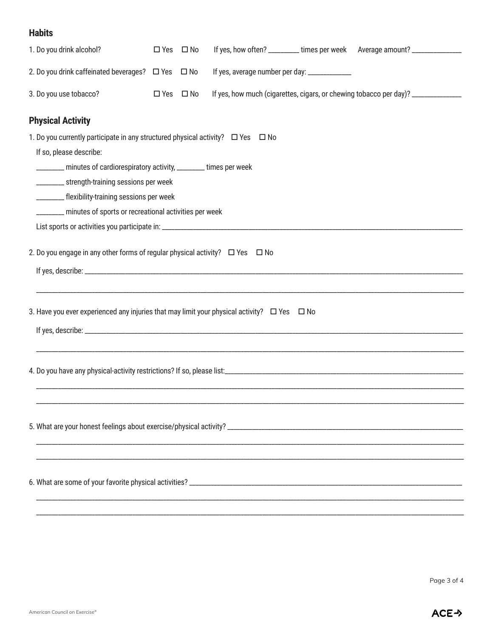## **Habits**

| 1. Do you drink alcohol?                                                                              | $\square$ Yes        | $\square$ No |                                                                                  |  | If yes, how often? _________ times per week Average amount? ______________ |  |  |
|-------------------------------------------------------------------------------------------------------|----------------------|--------------|----------------------------------------------------------------------------------|--|----------------------------------------------------------------------------|--|--|
| 2. Do you drink caffeinated beverages? □ Yes □ No                                                     |                      |              | If yes, average number per day: ______________                                   |  |                                                                            |  |  |
| 3. Do you use tobacco?                                                                                | $\Box$ Yes $\Box$ No |              | If yes, how much (cigarettes, cigars, or chewing tobacco per day)? _____________ |  |                                                                            |  |  |
| <b>Physical Activity</b>                                                                              |                      |              |                                                                                  |  |                                                                            |  |  |
| 1. Do you currently participate in any structured physical activity? □ Yes □ No                       |                      |              |                                                                                  |  |                                                                            |  |  |
| If so, please describe:                                                                               |                      |              |                                                                                  |  |                                                                            |  |  |
| _______ minutes of cardiorespiratory activity, _______ times per week                                 |                      |              |                                                                                  |  |                                                                            |  |  |
| _________ strength-training sessions per week                                                         |                      |              |                                                                                  |  |                                                                            |  |  |
| _________ flexibility-training sessions per week                                                      |                      |              |                                                                                  |  |                                                                            |  |  |
| ________ minutes of sports or recreational activities per week                                        |                      |              |                                                                                  |  |                                                                            |  |  |
|                                                                                                       |                      |              |                                                                                  |  |                                                                            |  |  |
| 2. Do you engage in any other forms of regular physical activity? $\Box$ Yes $\Box$ No                |                      |              |                                                                                  |  |                                                                            |  |  |
| 3. Have you ever experienced any injuries that may limit your physical activity? $\Box$ Yes $\Box$ No |                      |              |                                                                                  |  |                                                                            |  |  |
|                                                                                                       |                      |              |                                                                                  |  |                                                                            |  |  |
|                                                                                                       |                      |              |                                                                                  |  |                                                                            |  |  |
|                                                                                                       |                      |              |                                                                                  |  |                                                                            |  |  |
|                                                                                                       |                      |              |                                                                                  |  |                                                                            |  |  |
|                                                                                                       |                      |              |                                                                                  |  |                                                                            |  |  |